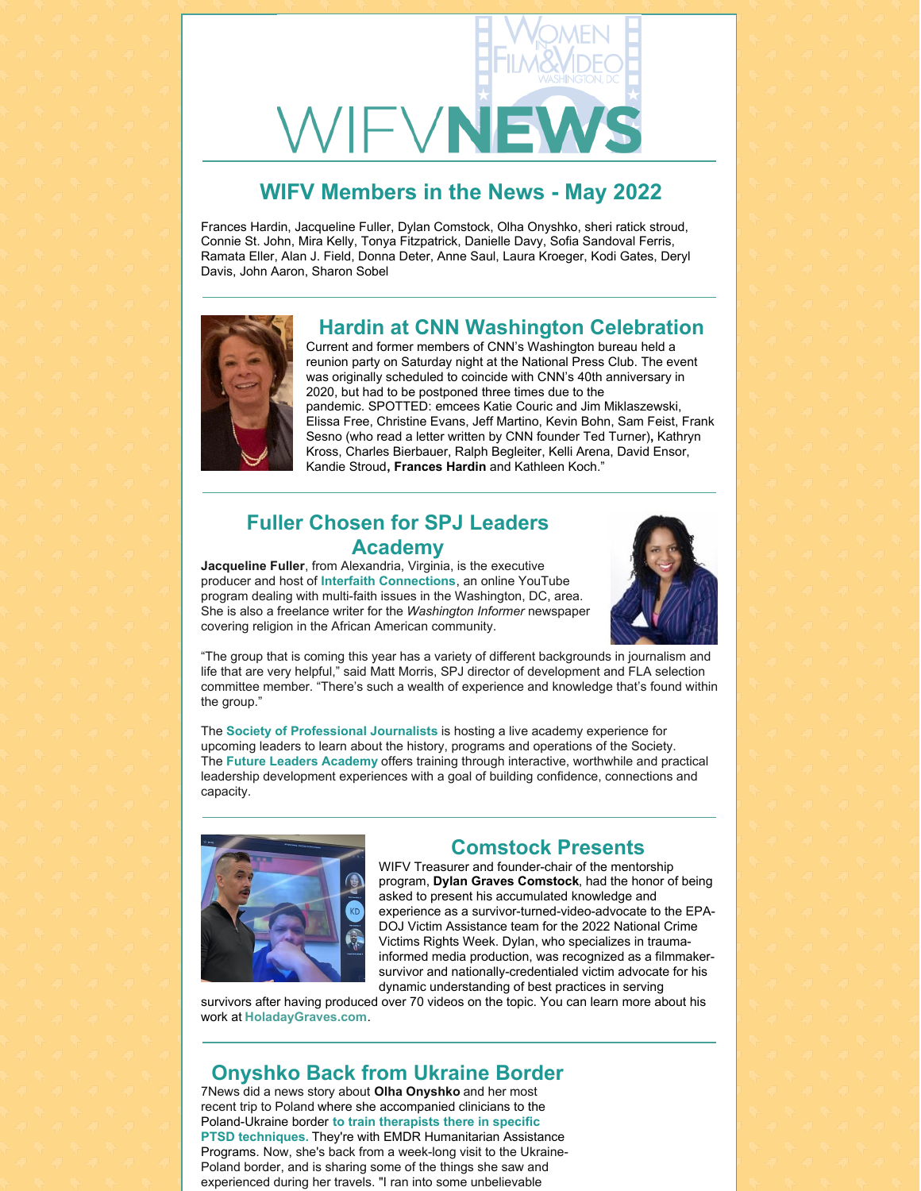

## **WIFV Members in the News - May 2022**

Frances Hardin, Jacqueline Fuller, Dylan Comstock, Olha Onyshko, sheri ratick stroud, Connie St. John, Mira Kelly, Tonya Fitzpatrick, Danielle Davy, Sofia Sandoval Ferris, Ramata Eller, Alan J. Field, Donna Deter, Anne Saul, Laura Kroeger, Kodi Gates, Deryl Davis, John Aaron, Sharon Sobel



#### **Hardin at CNN Washington Celebration**

Current and former members of CNN's Washington bureau held a reunion party on Saturday night at the National Press Club. The event was originally scheduled to coincide with CNN's 40th anniversary in 2020, but had to be postponed three times due to the pandemic. SPOTTED: emcees Katie Couric and Jim Miklaszewski, Elissa Free, Christine Evans, Jeff Martino, Kevin Bohn, Sam Feist, Frank Sesno (who read a letter written by CNN founder Ted Turner)**,** Kathryn Kross, Charles Bierbauer, Ralph Begleiter, Kelli Arena, David Ensor, Kandie Stroud**, Frances Hardin** and Kathleen Koch."

#### **Fuller Chosen for SPJ Leaders Academy**

**Jacqueline Fuller**, from Alexandria, Virginia, is the executive producer and host of **Interfaith [Connections](https://www.youtube.com/channel/UCf1WZlTd5W5pgTRgcBXOK7w)**, an online YouTube program dealing with multi-faith issues in the Washington, DC, area. She is also a freelance writer for the *Washington Informer* newspaper covering religion in the African American community.



"The group that is coming this year has a variety of different backgrounds in journalism and life that are very helpful," said Matt Morris, SPJ director of development and FLA selection committee member. "There's such a wealth of experience and knowledge that's found within the group."

The **Society of [Professional](https://www.spj.org/index.asp) Journalists** is hosting a live academy experience for upcoming leaders to learn about the history, programs and operations of the Society. The **Future Leaders [Academy](https://www.spj.org/fla.asp)** offers training through interactive, worthwhile and practical leadership development experiences with a goal of building confidence, connections and capacity.



#### **Comstock Presents**

WIFV Treasurer and founder-chair of the mentorship program, **Dylan Graves Comstock**, had the honor of being asked to present his accumulated knowledge and experience as a survivor-turned-video-advocate to the EPA-DOJ Victim Assistance team for the 2022 National Crime Victims Rights Week. Dylan, who specializes in traumainformed media production, was recognized as a filmmakersurvivor and nationally-credentialed victim advocate for his dynamic understanding of best practices in serving

survivors after having produced over 70 videos on the topic. You can learn more about his work at **[HoladayGraves.com](http://www.holadaygraves.com/)**.

### **Onyshko Back from Ukraine Border**

7News did a news story about **Olha Onyshko** and her most recent trip to Poland where she accompanied clinicians to the [Poland-Ukraine](https://www.emdrhap.org/content/) border **to train therapists there in specific PTSD techniques.** They're with EMDR Humanitarian Assistance Programs. Now, she's back from a week-long visit to the Ukraine-Poland border, and is sharing some of the things she saw and experienced during her travels. "I ran into some unbelievable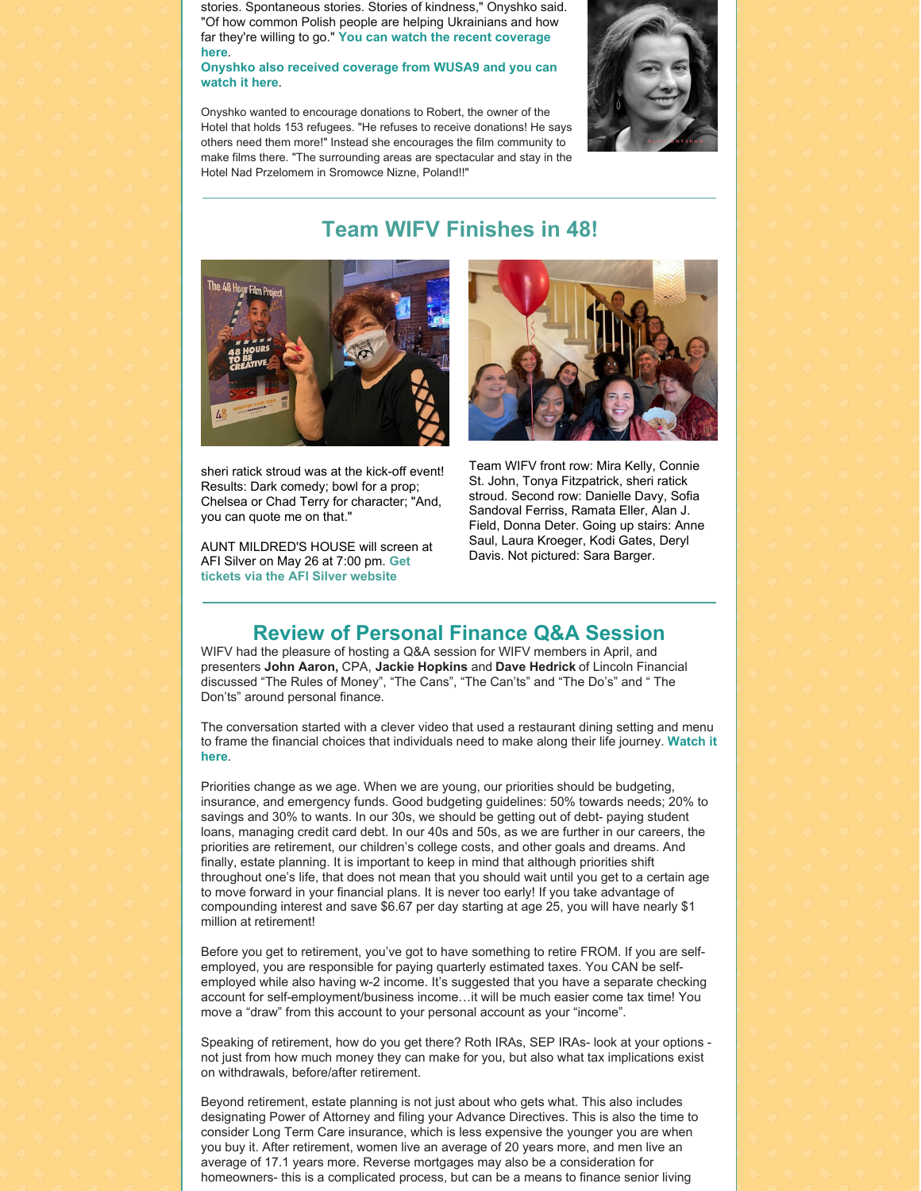stories. Spontaneous stories. Stories of kindness," Onyshko said. "Of how common Polish people are helping Ukrainians and how far they're willing to go." **You can watch the recent [coverage](https://wjla.com/news/local/olha-onyshko-ukrainian-native-travels-from-maryland-to-the-ukraine-poland-border-trauma-therapists-operation-boots-on-the-ground) here**.

#### **Onyshko also received [coverage](https://www.wusa9.com/article/news/nation-world/ukraine/ukrainian-filmmaker-returns-maryland-after-helping-train-therapists-refugees-poland/65-a89f0520-7b41-4cf1-a796-1b532efc6323) from WUSA9 and you can watch it here**.

Onyshko wanted to encourage donations to Robert, the owner of the Hotel that holds 153 refugees. "He refuses to receive donations! He says others need them more!" Instead she encourages the film community to make films there. "The surrounding areas are spectacular and stay in the Hotel Nad Przelomem in Sromowce Nizne, Poland!!"



## **Team WIFV Finishes in 48!**



sheri ratick stroud was at the kick-off event! Results: Dark comedy; bowl for a prop; Chelsea or Chad Terry for character; "And, you can quote me on that."

AUNT MILDRED'S HOUSE will screen at AFI Silver on May 26 at 7:00 pm. **Get tickets via the AFI Silver [website](https://afisilver.afi.com/)**



Team WIFV front row: Mira Kelly, Connie St. John, Tonya Fitzpatrick, sheri ratick stroud. Second row: Danielle Davy, Sofia Sandoval Ferriss, Ramata Eller, Alan J. Field, Donna Deter. Going up stairs: Anne Saul, Laura Kroeger, Kodi Gates, Deryl Davis. Not pictured: Sara Barger.

#### **Review of Personal Finance Q&A Session**

WIFV had the pleasure of hosting a Q&A session for WIFV members in April, and presenters **John Aaron,** CPA, **Jackie Hopkins** and **Dave Hedrick** of Lincoln Financial discussed "The Rules of Money", "The Cans", "The Can'ts" and "The Do's" and " The Don'ts" around personal finance.

The conversation started with a clever video that used a restaurant dining setting and menu to frame the financial choices that [individuals](https://players.brightcove.net/1134849171001/default_default/index.html?videoId=6095062504001) need to make along their life journey. **Watch it here**.

Priorities change as we age. When we are young, our priorities should be budgeting, insurance, and emergency funds. Good budgeting guidelines: 50% towards needs; 20% to savings and 30% to wants. In our 30s, we should be getting out of debt- paying student loans, managing credit card debt. In our 40s and 50s, as we are further in our careers, the priorities are retirement, our children's college costs, and other goals and dreams. And finally, estate planning. It is important to keep in mind that although priorities shift throughout one's life, that does not mean that you should wait until you get to a certain age to move forward in your financial plans. It is never too early! If you take advantage of compounding interest and save \$6.67 per day starting at age 25, you will have nearly \$1 million at retirement!

Before you get to retirement, you've got to have something to retire FROM. If you are selfemployed, you are responsible for paying quarterly estimated taxes. You CAN be selfemployed while also having w-2 income. It's suggested that you have a separate checking account for self-employment/business income…it will be much easier come tax time! You move a "draw" from this account to your personal account as your "income".

Speaking of retirement, how do you get there? Roth IRAs, SEP IRAs- look at your options not just from how much money they can make for you, but also what tax implications exist on withdrawals, before/after retirement.

Beyond retirement, estate planning is not just about who gets what. This also includes designating Power of Attorney and filing your Advance Directives. This is also the time to consider Long Term Care insurance, which is less expensive the younger you are when you buy it. After retirement, women live an average of 20 years more, and men live an average of 17.1 years more. Reverse mortgages may also be a consideration for homeowners- this is a complicated process, but can be a means to finance senior living